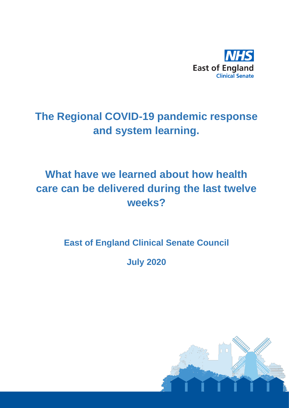

# **The Regional COVID-19 pandemic response and system learning.**

# **What have we learned about how health care can be delivered during the last twelve weeks?**

**East of England Clinical Senate Council**

**July 2020**

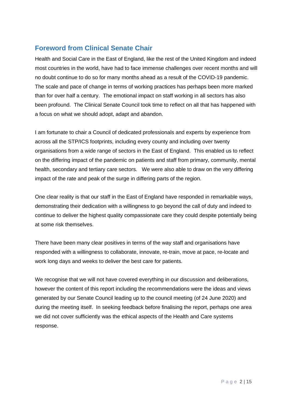### **Foreword from Clinical Senate Chair**

Health and Social Care in the East of England, like the rest of the United Kingdom and indeed most countries in the world, have had to face immense challenges over recent months and will no doubt continue to do so for many months ahead as a result of the COVID-19 pandemic. The scale and pace of change in terms of working practices has perhaps been more marked than for over half a century. The emotional impact on staff working in all sectors has also been profound. The Clinical Senate Council took time to reflect on all that has happened with a focus on what we should adopt, adapt and abandon.

I am fortunate to chair a Council of dedicated professionals and experts by experience from across all the STP/ICS footprints, including every county and including over twenty organisations from a wide range of sectors in the East of England. This enabled us to reflect on the differing impact of the pandemic on patients and staff from primary, community, mental health, secondary and tertiary care sectors. We were also able to draw on the very differing impact of the rate and peak of the surge in differing parts of the region.

One clear reality is that our staff in the East of England have responded in remarkable ways, demonstrating their dedication with a willingness to go beyond the call of duty and indeed to continue to deliver the highest quality compassionate care they could despite potentially being at some risk themselves.

There have been many clear positives in terms of the way staff and organisations have responded with a willingness to collaborate, innovate, re-train, move at pace, re-locate and work long days and weeks to deliver the best care for patients.

We recognise that we will not have covered everything in our discussion and deliberations, however the content of this report including the recommendations were the ideas and views generated by our Senate Council leading up to the council meeting (of 24 June 2020) and during the meeting itself. In seeking feedback before finalising the report, perhaps one area we did not cover sufficiently was the ethical aspects of the Health and Care systems response.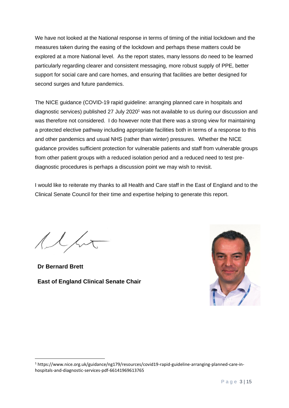We have not looked at the National response in terms of timing of the initial lockdown and the measures taken during the easing of the lockdown and perhaps these matters could be explored at a more National level. As the report states, many lessons do need to be learned particularly regarding clearer and consistent messaging, more robust supply of PPE, better support for social care and care homes, and ensuring that facilities are better designed for second surges and future pandemics.

The NICE guidance (COVID-19 rapid guideline: arranging planned care in hospitals and diagnostic services) published 27 July 2020<sup>1</sup> was not available to us during our discussion and was therefore not considered. I do however note that there was a strong view for maintaining a protected elective pathway including appropriate facilities both in terms of a response to this and other pandemics and usual NHS (rather than winter) pressures. Whether the NICE guidance provides sufficient protection for vulnerable patients and staff from vulnerable groups from other patient groups with a reduced isolation period and a reduced need to test prediagnostic procedures is perhaps a discussion point we may wish to revisit.

I would like to reiterate my thanks to all Health and Care staff in the East of England and to the Clinical Senate Council for their time and expertise helping to generate this report.

**Dr Bernard Brett East of England Clinical Senate Chair** 



<sup>1</sup> https://www.nice.org.uk/guidance/ng179/resources/covid19-rapid-guideline-arranging-planned-care-inhospitals-and-diagnostic-services-pdf-66141969613765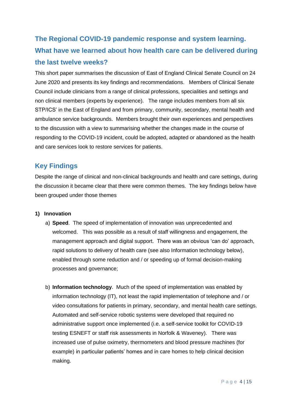## **The Regional COVID-19 pandemic response and system learning. What have we learned about how health care can be delivered during the last twelve weeks?**

This short paper summarises the discussion of East of England Clinical Senate Council on 24 June 2020 and presents its key findings and recommendations. Members of Clinical Senate Council include clinicians from a range of clinical professions, specialities and settings and non clinical members (experts by experience). The range includes members from all six STP/ICS' in the East of England and from primary, community, secondary, mental health and ambulance service backgrounds. Members brought their own experiences and perspectives to the discussion with a view to summarising whether the changes made in the course of responding to the COVID-19 incident, could be adopted, adapted or abandoned as the health and care services look to restore services for patients.

### **Key Findings**

Despite the range of clinical and non-clinical backgrounds and health and care settings, during the discussion it became clear that there were common themes. The key findings below have been grouped under those themes

### **1) Innovation**

- a) **Speed**. The speed of implementation of innovation was unprecedented and welcomed. This was possible as a result of staff willingness and engagement, the management approach and digital support. There was an obvious 'can do' approach, rapid solutions to delivery of health care (see also Information technology below), enabled through some reduction and / or speeding up of formal decision-making processes and governance;
- b) **Information technology**. Much of the speed of implementation was enabled by information technology (IT), not least the rapid implementation of telephone and / or video consultations for patients in primary, secondary, and mental health care settings. Automated and self-service robotic systems were developed that required no administrative support once implemented (i.e. a self-service toolkit for COVID-19 testing ESNEFT or staff risk assessments in Norfolk & Waveney). There was increased use of pulse oximetry, thermometers and blood pressure machines (for example) in particular patients' homes and in care homes to help clinical decision making.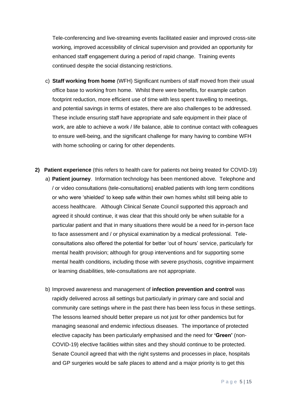Tele-conferencing and live-streaming events facilitated easier and improved cross-site working, improved accessibility of clinical supervision and provided an opportunity for enhanced staff engagement during a period of rapid change. Training events continued despite the social distancing restrictions.

- c) **Staff working from home** (WFH) Significant numbers of staff moved from their usual office base to working from home. Whilst there were benefits, for example carbon footprint reduction, more efficient use of time with less spent travelling to meetings, and potential savings in terms of estates, there are also challenges to be addressed. These include ensuring staff have appropriate and safe equipment in their place of work, are able to achieve a work / life balance, able to continue contact with colleagues to ensure well-being, and the significant challenge for many having to combine WFH with home schooling or caring for other dependents.
- **2) Patient experience** (this refers to health care for patients not being treated for COVID-19) a) **Patient journey**. Information technology has been mentioned above. Telephone and / or video consultations (tele-consultations) enabled patients with long term conditions or who were 'shielded' to keep safe within their own homes whilst still being able to access healthcare. Although Clinical Senate Council supported this approach and agreed it should continue, it was clear that this should only be when suitable for a particular patient and that in many situations there would be a need for in-person face to face assessment and / or physical examination by a medical professional. Teleconsultations also offered the potential for better 'out of hours' service, particularly for mental health provision; although for group interventions and for supporting some mental health conditions, including those with severe psychosis, cognitive impairment or learning disabilities, tele-consultations are not appropriate.
	- b) Improved awareness and management of **infection prevention and control** was rapidly delivered across all settings but particularly in primary care and social and community care settings where in the past there has been less focus in these settings. The lessons learned should better prepare us not just for other pandemics but for managing seasonal and endemic infectious diseases. The importance of protected elective capacity has been particularly emphasised and the need for **'Green'** (non-COVID-19) elective facilities within sites and they should continue to be protected. Senate Council agreed that with the right systems and processes in place, hospitals and GP surgeries would be safe places to attend and a major priority is to get this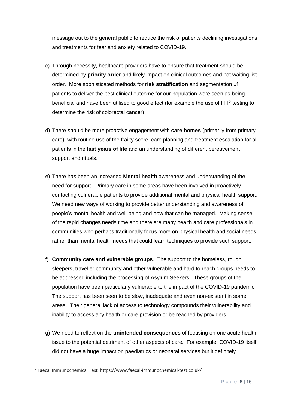message out to the general public to reduce the risk of patients declining investigations and treatments for fear and anxiety related to COVID-19.

- c) Through necessity, healthcare providers have to ensure that treatment should be determined by **priority order** and likely impact on clinical outcomes and not waiting list order. More sophisticated methods for **risk stratification** and segmentation of patients to deliver the best clinical outcome for our population were seen as being beneficial and have been utilised to good effect (for example the use of  $FIT<sup>2</sup>$  testing to determine the risk of colorectal cancer).
- d) There should be more proactive engagement with **care homes** (primarily from primary care), with routine use of the frailty score, care planning and treatment escalation for all patients in the **last years of life** and an understanding of different bereavement support and rituals.
- e) There has been an increased **Mental health** awareness and understanding of the need for support. Primary care in some areas have been involved in proactively contacting vulnerable patients to provide additional mental and physical health support. We need new ways of working to provide better understanding and awareness of people's mental health and well-being and how that can be managed. Making sense of the rapid changes needs time and there are many health and care professionals in communities who perhaps traditionally focus more on physical health and social needs rather than mental health needs that could learn techniques to provide such support.
- f) **Community care and vulnerable groups**. The support to the homeless, rough sleepers, traveller community and other vulnerable and hard to reach groups needs to be addressed including the processing of Asylum Seekers. These groups of the population have been particularly vulnerable to the impact of the COVID-19 pandemic. The support has been seen to be slow, inadequate and even non-existent in some areas. Their general lack of access to technology compounds their vulnerability and inability to access any health or care provision or be reached by providers.
- g) We need to reflect on the **unintended consequences** of focusing on one acute health issue to the potential detriment of other aspects of care. For example, COVID-19 itself did not have a huge impact on paediatrics or neonatal services but it definitely

<sup>2</sup> Faecal Immunochemical Test https://www.faecal-immunochemical-test.co.uk/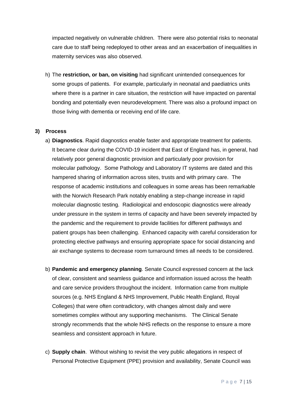impacted negatively on vulnerable children. There were also potential risks to neonatal care due to staff being redeployed to other areas and an exacerbation of inequalities in maternity services was also observed.

h) The **restriction, or ban, on visiting** had significant unintended consequences for some groups of patients. For example, particularly in neonatal and paediatrics units where there is a partner in care situation, the restriction will have impacted on parental bonding and potentially even neurodevelopment. There was also a profound impact on those living with dementia or receiving end of life care.

#### **3) Process**

- a) **Diagnostics**. Rapid diagnostics enable faster and appropriate treatment for patients. It became clear during the COVID-19 incident that East of England has, in general, had relatively poor general diagnostic provision and particularly poor provision for molecular pathology. Some Pathology and Laboratory IT systems are dated and this hampered sharing of information across sites, trusts and with primary care. The response of academic institutions and colleagues in some areas has been remarkable with the Norwich Research Park notably enabling a step-change increase in rapid molecular diagnostic testing. Radiological and endoscopic diagnostics were already under pressure in the system in terms of capacity and have been severely impacted by the pandemic and the requirement to provide facilities for different pathways and patient groups has been challenging. Enhanced capacity with careful consideration for protecting elective pathways and ensuring appropriate space for social distancing and air exchange systems to decrease room turnaround times all needs to be considered.
- b) **Pandemic and emergency planning**. Senate Council expressed concern at the lack of clear, consistent and seamless guidance and information issued across the health and care service providers throughout the incident. Information came from multiple sources (e.g. NHS England & NHS Improvement, Public Health England, Royal Colleges) that were often contradictory, with changes almost daily and were sometimes complex without any supporting mechanisms. The Clinical Senate strongly recommends that the whole NHS reflects on the response to ensure a more seamless and consistent approach in future.
- c) **Supply chain**. Without wishing to revisit the very public allegations in respect of Personal Protective Equipment (PPE) provision and availability, Senate Council was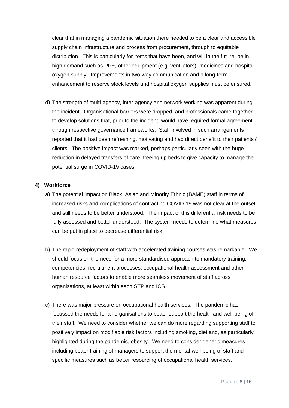clear that in managing a pandemic situation there needed to be a clear and accessible supply chain infrastructure and process from procurement, through to equitable distribution. This is particularly for items that have been, and will in the future, be in high demand such as PPE, other equipment (e.g. ventilators), medicines and hospital oxygen supply. Improvements in two-way communication and a long-term enhancement to reserve stock levels and hospital oxygen supplies must be ensured.

d) The strength of multi-agency, inter-agency and network working was apparent during the incident. Organisational barriers were dropped, and professionals came together to develop solutions that, prior to the incident, would have required formal agreement through respective governance frameworks. Staff involved in such arrangements reported that it had been refreshing, motivating and had direct benefit to their patients / clients. The positive impact was marked, perhaps particularly seen with the huge reduction in delayed transfers of care, freeing up beds to give capacity to manage the potential surge in COVID-19 cases.

#### **4) Workforce**

- a) The potential impact on Black, Asian and Minority Ethnic (BAME) staff in terms of increased risks and complications of contracting COVID-19 was not clear at the outset and still needs to be better understood. The impact of this differential risk needs to be fully assessed and better understood. The system needs to determine what measures can be put in place to decrease differential risk.
- b) The rapid redeployment of staff with accelerated training courses was remarkable. We should focus on the need for a more standardised approach to mandatory training, competencies, recruitment processes, occupational health assessment and other human resource factors to enable more seamless movement of staff across organisations, at least within each STP and ICS.
- c) There was major pressure on occupational health services. The pandemic has focussed the needs for all organisations to better support the health and well-being of their staff. We need to consider whether we can do more regarding supporting staff to positively impact on modifiable risk factors including smoking, diet and, as particularly highlighted during the pandemic, obesity. We need to consider generic measures including better training of managers to support the mental well-being of staff and specific measures such as better resourcing of occupational health services.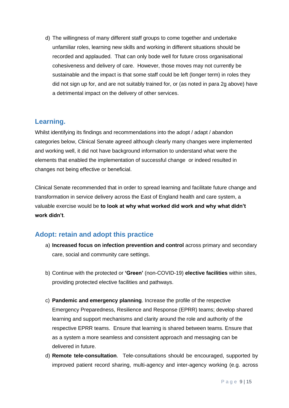d) The willingness of many different staff groups to come together and undertake unfamiliar roles, learning new skills and working in different situations should be recorded and applauded. That can only bode well for future cross organisational cohesiveness and delivery of care. However, those moves may not currently be sustainable and the impact is that some staff could be left (longer term) in roles they did not sign up for, and are not suitably trained for, or (as noted in para 2g above) have a detrimental impact on the delivery of other services.

### **Learning.**

Whilst identifying its findings and recommendations into the adopt / adapt / abandon categories below, Clinical Senate agreed although clearly many changes were implemented and working well, it did not have background information to understand what were the elements that enabled the implementation of successful change or indeed resulted in changes not being effective or beneficial.

Clinical Senate recommended that in order to spread learning and facilitate future change and transformation in service delivery across the East of England health and care system, a valuable exercise would be **to look at why what worked did work and why what didn't work didn't**.

### **Adopt: retain and adopt this practice**

- a) **Increased focus on infection prevention and control** across primary and secondary care, social and community care settings.
- b) Continue with the protected or **'Green'** (non-COVID-19) **elective facilities** within sites, providing protected elective facilities and pathways.
- c) **Pandemic and emergency planning**. Increase the profile of the respective Emergency Preparedness, Resilience and Response (EPRR) teams; develop shared learning and support mechanisms and clarity around the role and authority of the respective EPRR teams. Ensure that learning is shared between teams. Ensure that as a system a more seamless and consistent approach and messaging can be delivered in future.
- d) **Remote tele-consultation**. Tele-consultations should be encouraged, supported by improved patient record sharing, multi-agency and inter-agency working (e.g. across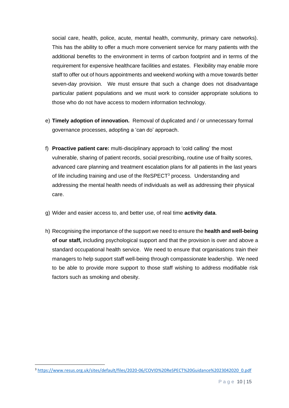social care, health, police, acute, mental health, community, primary care networks). This has the ability to offer a much more convenient service for many patients with the additional benefits to the environment in terms of carbon footprint and in terms of the requirement for expensive healthcare facilities and estates. Flexibility may enable more staff to offer out of hours appointments and weekend working with a move towards better seven-day provision. We must ensure that such a change does not disadvantage particular patient populations and we must work to consider appropriate solutions to those who do not have access to modern information technology.

- e) **Timely adoption of innovation.** Removal of duplicated and / or unnecessary formal governance processes, adopting a 'can do' approach.
- f) **Proactive patient care:** multi-disciplinary approach to 'cold calling' the most vulnerable, sharing of patient records, social prescribing, routine use of frailty scores, advanced care planning and treatment escalation plans for all patients in the last years of life including training and use of the ReSPECT<sup>3</sup> process. Understanding and addressing the mental health needs of individuals as well as addressing their physical care.
- g) Wider and easier access to, and better use, of real time **activity data**.
- h) Recognising the importance of the support we need to ensure the **health and well-being of our staff,** including psychological support and that the provision is over and above a standard occupational health service. We need to ensure that organisations train their managers to help support staff well-being through compassionate leadership. We need to be able to provide more support to those staff wishing to address modifiable risk factors such as smoking and obesity.

<sup>3</sup> [https://www.resus.org.uk/sites/default/files/2020-06/COVID%20ReSPECT%20Guidance%2023042020\\_0.pdf](https://www.resus.org.uk/sites/default/files/2020-06/COVID%20ReSPECT%20Guidance%2023042020_0.pdf)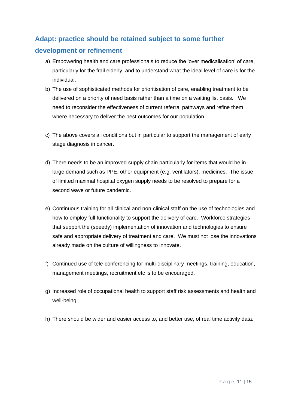## **Adapt: practice should be retained subject to some further development or refinement**

- a) Empowering health and care professionals to reduce the 'over medicalisation' of care, particularly for the frail elderly, and to understand what the ideal level of care is for the individual.
- b) The use of sophisticated methods for prioritisation of care, enabling treatment to be delivered on a priority of need basis rather than a time on a waiting list basis. We need to reconsider the effectiveness of current referral pathways and refine them where necessary to deliver the best outcomes for our population.
- c) The above covers all conditions but in particular to support the management of early stage diagnosis in cancer.
- d) There needs to be an improved supply chain particularly for items that would be in large demand such as PPE, other equipment (e.g. ventilators), medicines. The issue of limited maximal hospital oxygen supply needs to be resolved to prepare for a second wave or future pandemic.
- e) Continuous training for all clinical and non-clinical staff on the use of technologies and how to employ full functionality to support the delivery of care. Workforce strategies that support the (speedy) implementation of innovation and technologies to ensure safe and appropriate delivery of treatment and care. We must not lose the innovations already made on the culture of willingness to innovate.
- f) Continued use of tele-conferencing for multi-disciplinary meetings, training, education, management meetings, recruitment etc is to be encouraged.
- g) Increased role of occupational health to support staff risk assessments and health and well-being.
- h) There should be wider and easier access to, and better use, of real time activity data.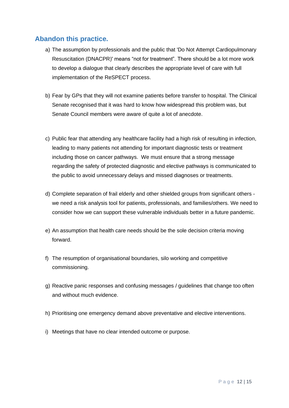### **Abandon this practice.**

- a) The assumption by professionals and the public that 'Do Not Attempt Cardiopulmonary Resuscitation (DNACPR)' means "not for treatment". There should be a lot more work to develop a dialogue that clearly describes the appropriate level of care with full implementation of the ReSPECT process.
- b) Fear by GPs that they will not examine patients before transfer to hospital. The Clinical Senate recognised that it was hard to know how widespread this problem was, but Senate Council members were aware of quite a lot of anecdote.
- c) Public fear that attending any healthcare facility had a high risk of resulting in infection, leading to many patients not attending for important diagnostic tests or treatment including those on cancer pathways. We must ensure that a strong message regarding the safety of protected diagnostic and elective pathways is communicated to the public to avoid unnecessary delays and missed diagnoses or treatments.
- d) Complete separation of frail elderly and other shielded groups from significant others we need a risk analysis tool for patients, professionals, and families/others. We need to consider how we can support these vulnerable individuals better in a future pandemic.
- e) An assumption that health care needs should be the sole decision criteria moving forward.
- f) The resumption of organisational boundaries, silo working and competitive commissioning.
- g) Reactive panic responses and confusing messages / guidelines that change too often and without much evidence.
- h) Prioritising one emergency demand above preventative and elective interventions.
- i) Meetings that have no clear intended outcome or purpose.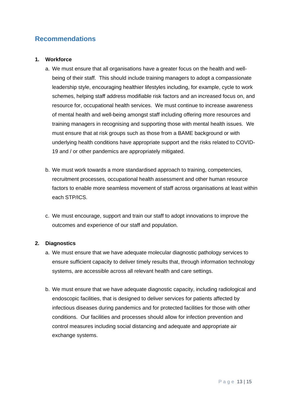### **Recommendations**

### **1. Workforce**

- a. We must ensure that all organisations have a greater focus on the health and wellbeing of their staff. This should include training managers to adopt a compassionate leadership style, encouraging healthier lifestyles including, for example, cycle to work schemes, helping staff address modifiable risk factors and an increased focus on, and resource for, occupational health services. We must continue to increase awareness of mental health and well-being amongst staff including offering more resources and training managers in recognising and supporting those with mental health issues. We must ensure that at risk groups such as those from a BAME background or with underlying health conditions have appropriate support and the risks related to COVID-19 and / or other pandemics are appropriately mitigated.
- b. We must work towards a more standardised approach to training, competencies, recruitment processes, occupational health assessment and other human resource factors to enable more seamless movement of staff across organisations at least within each STP/ICS.
- c. We must encourage, support and train our staff to adopt innovations to improve the outcomes and experience of our staff and population.

### **2. Diagnostics**

- a. We must ensure that we have adequate molecular diagnostic pathology services to ensure sufficient capacity to deliver timely results that, through information technology systems, are accessible across all relevant health and care settings.
- b. We must ensure that we have adequate diagnostic capacity, including radiological and endoscopic facilities, that is designed to deliver services for patients affected by infectious diseases during pandemics and for protected facilities for those with other conditions. Our facilities and processes should allow for infection prevention and control measures including social distancing and adequate and appropriate air exchange systems.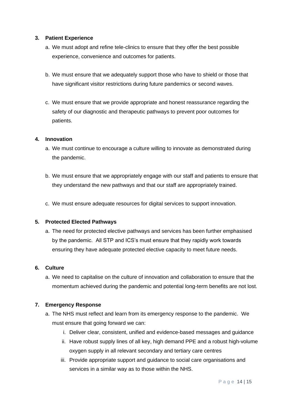### **3. Patient Experience**

- a. We must adopt and refine tele-clinics to ensure that they offer the best possible experience, convenience and outcomes for patients.
- b. We must ensure that we adequately support those who have to shield or those that have significant visitor restrictions during future pandemics or second waves.
- c. We must ensure that we provide appropriate and honest reassurance regarding the safety of our diagnostic and therapeutic pathways to prevent poor outcomes for patients.

#### **4. Innovation**

- a. We must continue to encourage a culture willing to innovate as demonstrated during the pandemic.
- b. We must ensure that we appropriately engage with our staff and patients to ensure that they understand the new pathways and that our staff are appropriately trained.
- c. We must ensure adequate resources for digital services to support innovation.

### **5. Protected Elected Pathways**

a. The need for protected elective pathways and services has been further emphasised by the pandemic. All STP and ICS's must ensure that they rapidly work towards ensuring they have adequate protected elective capacity to meet future needs.

#### **6. Culture**

a. We need to capitalise on the culture of innovation and collaboration to ensure that the momentum achieved during the pandemic and potential long-term benefits are not lost.

### **7. Emergency Response**

- a. The NHS must reflect and learn from its emergency response to the pandemic. We must ensure that going forward we can:
	- i. Deliver clear, consistent, unified and evidence-based messages and guidance
	- ii. Have robust supply lines of all key, high demand PPE and a robust high-volume oxygen supply in all relevant secondary and tertiary care centres
	- iii. Provide appropriate support and guidance to social care organisations and services in a similar way as to those within the NHS.